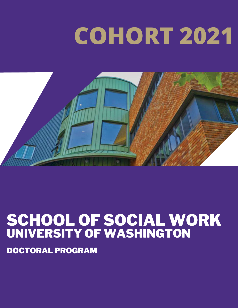# **COHORT 2021**



#### SCHOOL OF SOCIAL WORK UNIVERSITY OF WASHINGTON

DOCTORAL PROGRAM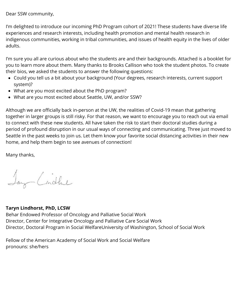Dear SSW community,

I'm delighted to introduce our incoming PhD Program cohort of 2021! These students have diverse life experiences and research interests, including health promotion and mental health research in indigenous communities, working in tribal communities, and issues of health equity in the lives of older adults.

I'm sure you all are curious about who the students are and their backgrounds. Attached is a booklet for you to learn more about them. Many thanks to Brooks Callison who took the student photos. To create their bios, we asked the students to answer the following questions:

- Could you tell us a bit about your background (Your degrees, research interests, current support system)?
- What are you most excited about the PhD program?
- What are you most excited about Seattle, UW, and/or SSW?

Although we are officially back in-person at the UW, the realities of Covid-19 mean that gathering together in larger groups is still risky. For that reason, we want to encourage you to reach out via email to connect with these new students. All have taken the risk to start their doctoral studies during a period of profound disruption in our usual ways of connecting and communicating. Three just moved to Seattle in the past weeks to join us. Let them know your favorite social distancing activities in their new home, and help them begin to see avenues of connection!

Many thanks,

Jay Cindhe

#### **Taryn Lindhorst, PhD, LCSW**

Behar Endowed Professor of Oncology and Palliative Social Work Director, Center for Integrative Oncology and Palliative Care Social Work Director, Doctoral Program in Social WelfareUniversity of Washington, School of Social Work

Fellow of the American Academy of Social Work and Social Welfare pronouns: she/hers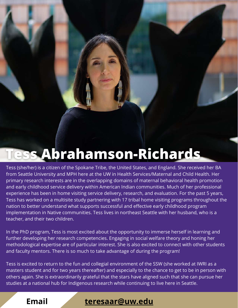## **Tess Abrahamson-Richards**

Tess (she/her) is a citizen of the Spokane Tribe, the United States, and England. She received her BA from Seattle University and MPH here at the UW in Health Services/Maternal and Child Health. Her primary research interests are in the overlapping domains of maternal behavioral health promotion and early childhood service delivery within American Indian communities. Much of her professional experience has been in home visiting service delivery, research, and evaluation. For the past 5 years, Tess has worked on a multisite study partnering with 17 tribal home visiting programs throughout the nation to better understand what supports successful and effective early childhood program implementation in Native communities. Tess lives in northeast Seattle with her husband, who is a teacher, and their two children.

In the PhD program, Tess is most excited about the opportunity to immerse herself in learning and further developing her research competencies. Engaging in social welfare theory and honing her methodological expertise are of particular interest. She is also excited to connect with other students and faculty mentors. There is so much to take advantage of during the program!

Tess is excited to return to the fun and collegial environment of the SSW (she worked at IWRI as a masters student and for two years thereafter) and especially to the chance to get to be in person with others again. She is extraordinarily grateful that the stars have aligned such that she can pursue her studies at a national hub for Indigenous research while continuing to live here in Seattle.

**Email** : **[teresaar@uw.edu](mailto:teresaar@uw.edu)**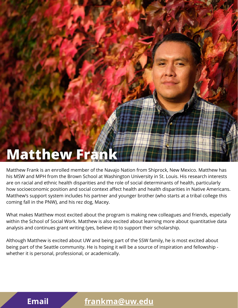#### **Matthew Fran**

Matthew Frank is an enrolled member of the Navajo Nation from Shiprock, New Mexico. Matthew has his MSW and MPH from the Brown School at Washington University in St. Louis. His research interests are on racial and ethnic health disparities and the role of social determinants of health, particularly how socioeconomic position and social context affect health and health disparities in Native Americans. Matthew's support system includes his partner and younger brother (who starts at a tribal college this coming fall in the PNW), and his rez dog, Macey.

What makes Matthew most excited about the program is making new colleagues and friends, especially within the School of Social Work. Matthew is also excited about learning more about quantitative data analysis and continues grant writing (yes, believe it) to support their scholarship.

Although Matthew is excited about UW and being part of the SSW family, he is most excited about being part of the Seattle community. He is hoping it will be a source of inspiration and fellowship whether it is personal, professional, or academically.

#### **Email [frankma@uw.edu](mailto:frankma@uw.edu)**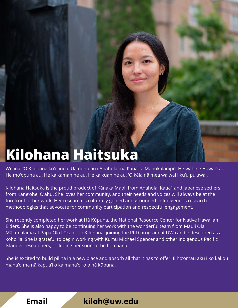### **Kilohana Haitsuka**

Welina! ʻO Kilohana koʻu inoa. Ua noho au i Anahola ma Kauaʻi a Manokalanipō. He wahine Hawaiʻi au. He moʻopuna au. He kaikamahine au. He kaikuahine au. ʻO kēia nā mea waiwai i kuʻu puʻuwai.

Kilohana Haitsuka is the proud product of Kānaka Maoli from Anahola, Kauaʻi and Japanese settlers from Kāneʻohe, Oʻahu. She loves her community, and their needs and voices will always be at the forefront of her work. Her research is culturally guided and grounded in Indigenous research methodologies that advocate for community participation and respectful engagement.

She recently completed her work at Hā Kūpuna, the National Resource Center for Native Hawaiian Elders. She is also happy to be continuing her work with the wonderful team from Mauli Ola Mālamalama at Papa Ola Lōkahi. To Kilohana, joining the PhD program at UW can be described as a koho ʻia. She is grateful to begin working with Kumu Michael Spencer and other Indigenous Pacific Islander researchers, including her soon-to-be hoa hana.

She is excited to build pilina in a new place and absorb all that it has to offer. E hoʻomau aku i kō kākou manaʻo ma nā kapuaʻi o ka manaʻoʻiʻo o nā kūpuna.



**Email** : **[kiloh@uw.edu](mailto:kiloh@uw.edu)**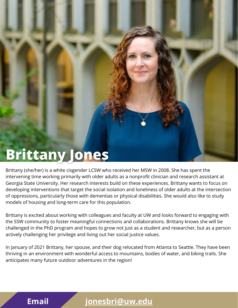#### **Brittany Jones**

Brittany (she/her) is a white cisgender LCSW who received her MSW in 2008. She has spent the intervening time working primarily with older adults as a nonprofit clinician and research assistant at Georgia State University. Her research interests build on these experiences. Brittany wants to focus on developing interventions that target the social isolation and loneliness of older adults at the intersection of oppressions, particularly those with dementias or physical disabilities. She would also like to study models of housing and long-term care for this population.

Brittany is excited about working with colleagues and faculty at UW and looks forward to engaging with the SSW community to foster meaningful connections and collaborations. Brittany knows she will be challenged in the PhD program and hopes to grow not just as a student and researcher, but as a person actively challenging her privilege and living out her social justice values.

In January of 2021 Brittany, her spouse, and their dog relocated from Atlanta to Seattle. They have been thriving in an environment with wonderful access to mountains, bodies of water, and biking trails. She anticipates many future outdoor adventures in the region!